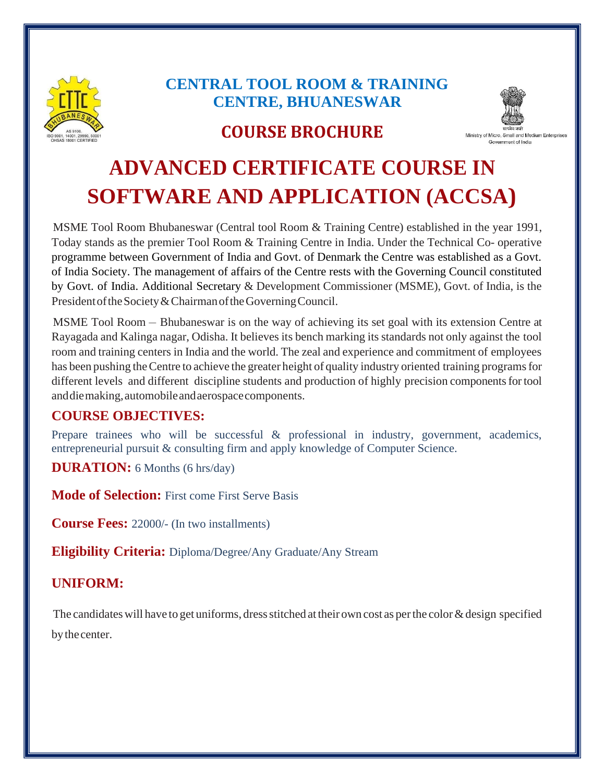

# **CENTRAL TOOL ROOM & TRAINING CENTRE, BHUANESWAR**

# **COURSE BROCHURE**



# **ADVANCED CERTIFICATE COURSE IN SOFTWARE AND APPLICATION (ACCSA)**

MSME Tool Room Bhubaneswar (Central tool Room & Training Centre) established in the year 1991, Today stands as the premier Tool Room & Training Centre in India. Under the Technical Co- operative programme between Government of India and Govt. of Denmark the Centre was established as a Govt. of India Society. The management of affairs of the Centre rests with the Governing Council constituted by Govt. of India. Additional Secretary & Development Commissioner (MSME), Govt. of India, is the President of the Society & Chairman of the Governing Council.

MSME Tool Room – Bhubaneswar is on the way of achieving its set goal with its extension Centre at Rayagada and Kalinga nagar, Odisha. It believes its bench marking its standards not only against the tool room and training centers in India and the world. The zeal and experience and commitment of employees has been pushing the Centre to achieve the greater height of quality industry oriented training programs for different levels and different discipline students and production of highly precision components for tool and die making, automobile and aerospace components.

#### **COURSE OBJECTIVES:**

Prepare trainees who will be successful & professional in industry, government, academics, entrepreneurial pursuit & consulting firm and apply knowledge of Computer Science.

**DURATION:** 6 Months (6 hrs/day)

**Mode of Selection:** First come First Serve Basis

**Course Fees:** 22000/- (In two installments)

**Eligibility Criteria:** Diploma/Degree/Any Graduate/Any Stream

## **UNIFORM:**

The candidates will have to get uniforms, dress stitched at their own cost as per the color  $\&$  design specified bythecenter.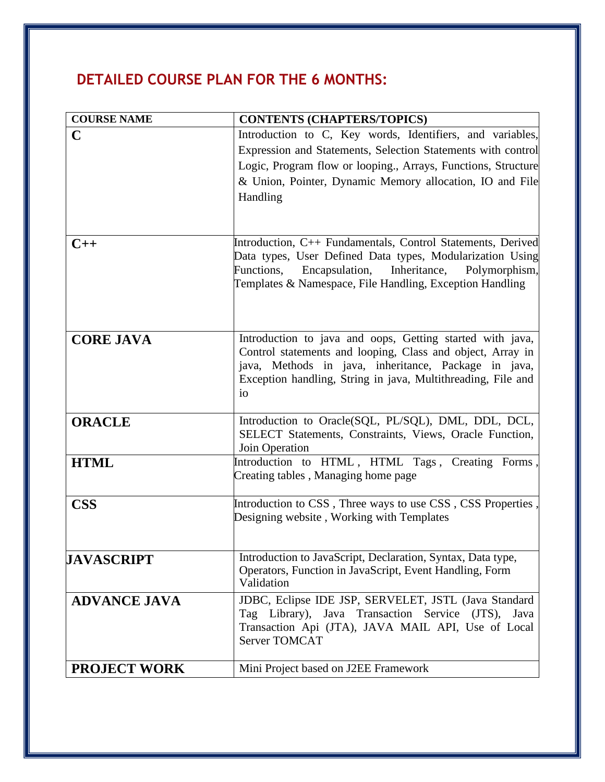# **DETAILED COURSE PLAN FOR THE 6 MONTHS:**

| <b>COURSE NAME</b>  | <b>CONTENTS (CHAPTERS/TOPICS)</b>                                                                                  |
|---------------------|--------------------------------------------------------------------------------------------------------------------|
| C                   | Introduction to C, Key words, Identifiers, and variables,                                                          |
|                     | Expression and Statements, Selection Statements with control                                                       |
|                     | Logic, Program flow or looping., Arrays, Functions, Structure                                                      |
|                     | & Union, Pointer, Dynamic Memory allocation, IO and File                                                           |
|                     | Handling                                                                                                           |
|                     |                                                                                                                    |
|                     |                                                                                                                    |
| $C++$               | Introduction, C++ Fundamentals, Control Statements, Derived                                                        |
|                     | Data types, User Defined Data types, Modularization Using<br>Functions, Encapsulation, Inheritance, Polymorphism,  |
|                     | Templates & Namespace, File Handling, Exception Handling                                                           |
|                     |                                                                                                                    |
|                     |                                                                                                                    |
|                     |                                                                                                                    |
| <b>CORE JAVA</b>    | Introduction to java and oops, Getting started with java,                                                          |
|                     | Control statements and looping, Class and object, Array in<br>java, Methods in java, inheritance, Package in java, |
|                     | Exception handling, String in java, Multithreading, File and                                                       |
|                     | 10 <sup>2</sup>                                                                                                    |
|                     |                                                                                                                    |
| <b>ORACLE</b>       | Introduction to Oracle(SQL, PL/SQL), DML, DDL, DCL,                                                                |
|                     | SELECT Statements, Constraints, Views, Oracle Function,                                                            |
| <b>HTML</b>         | Join Operation<br>Introduction to HTML, HTML Tags, Creating Forms,                                                 |
|                     | Creating tables, Managing home page                                                                                |
|                     |                                                                                                                    |
| <b>CSS</b>          | Introduction to CSS, Three ways to use CSS, CSS Properties.                                                        |
|                     | Designing website, Working with Templates                                                                          |
|                     |                                                                                                                    |
| <b>JAVASCRIPT</b>   | Introduction to JavaScript, Declaration, Syntax, Data type,                                                        |
|                     | Operators, Function in JavaScript, Event Handling, Form                                                            |
|                     | Validation                                                                                                         |
| <b>ADVANCE JAVA</b> | JDBC, Eclipse IDE JSP, SERVELET, JSTL (Java Standard                                                               |
|                     | Tag Library), Java Transaction Service<br>$(TTS)$ ,<br>Java                                                        |
|                     | Transaction Api (JTA), JAVA MAIL API, Use of Local<br><b>Server TOMCAT</b>                                         |
|                     |                                                                                                                    |
| <b>PROJECT WORK</b> | Mini Project based on J2EE Framework                                                                               |